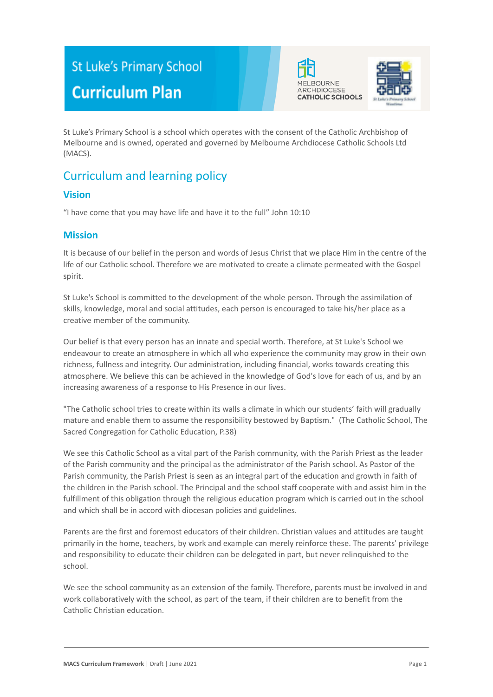# **St Luke's Primary School Curriculum Plan**





St Luke's Primary School is a school which operates with the consent of the Catholic Archbishop of Melbourne and is owned, operated and governed by Melbourne Archdiocese Catholic Schools Ltd (MACS).

## Curriculum and learning policy

## **Vision**

"I have come that you may have life and have it to the full" John 10:10

#### **Mission**

It is because of our belief in the person and words of Jesus Christ that we place Him in the centre of the life of our Catholic school. Therefore we are motivated to create a climate permeated with the Gospel spirit.

St Luke's School is committed to the development of the whole person. Through the assimilation of skills, knowledge, moral and social attitudes, each person is encouraged to take his/her place as a creative member of the community.

Our belief is that every person has an innate and special worth. Therefore, at St Luke's School we endeavour to create an atmosphere in which all who experience the community may grow in their own richness, fullness and integrity. Our administration, including financial, works towards creating this atmosphere. We believe this can be achieved in the knowledge of God's love for each of us, and by an increasing awareness of a response to His Presence in our lives.

"The Catholic school tries to create within its walls a climate in which our students' faith will gradually mature and enable them to assume the responsibility bestowed by Baptism." (The Catholic School, The Sacred Congregation for Catholic Education, P.38)

We see this Catholic School as a vital part of the Parish community, with the Parish Priest as the leader of the Parish community and the principal as the administrator of the Parish school. As Pastor of the Parish community, the Parish Priest is seen as an integral part of the education and growth in faith of the children in the Parish school. The Principal and the school staff cooperate with and assist him in the fulfillment of this obligation through the religious education program which is carried out in the school and which shall be in accord with diocesan policies and guidelines.

Parents are the first and foremost educators of their children. Christian values and attitudes are taught primarily in the home, teachers, by work and example can merely reinforce these. The parents' privilege and responsibility to educate their children can be delegated in part, but never relinquished to the school.

We see the school community as an extension of the family. Therefore, parents must be involved in and work collaboratively with the school, as part of the team, if their children are to benefit from the Catholic Christian education.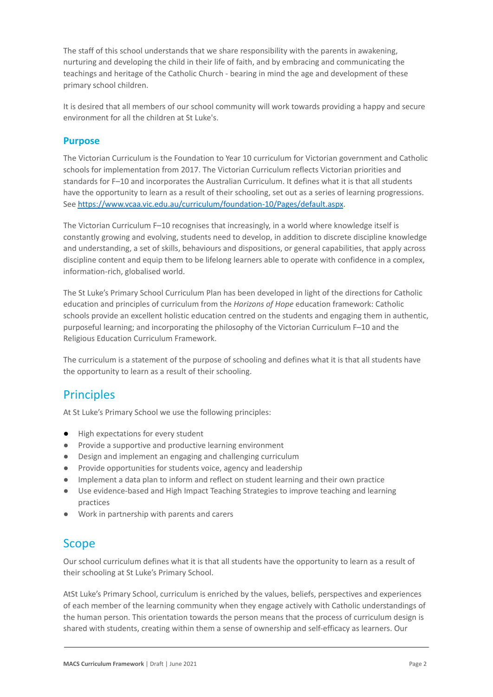The staff of this school understands that we share responsibility with the parents in awakening, nurturing and developing the child in their life of faith, and by embracing and communicating the teachings and heritage of the Catholic Church - bearing in mind the age and development of these primary school children.

It is desired that all members of our school community will work towards providing a happy and secure environment for all the children at St Luke's.

#### **Purpose**

The Victorian Curriculum is the Foundation to Year 10 curriculum for Victorian government and Catholic schools for implementation from 2017. The Victorian Curriculum reflects Victorian priorities and standards for F–10 and incorporates the Australian Curriculum. It defines what it is that all students have the opportunity to learn as a result of their schooling, set out as a series of learning progressions. See <https://www.vcaa.vic.edu.au/curriculum/foundation-10/Pages/default.aspx>.

The Victorian Curriculum F–10 recognises that increasingly, in a world where knowledge itself is constantly growing and evolving, students need to develop, in addition to discrete discipline knowledge and understanding, a set of skills, behaviours and dispositions, or general capabilities, that apply across discipline content and equip them to be lifelong learners able to operate with confidence in a complex, information-rich, globalised world.

The St Luke's Primary School Curriculum Plan has been developed in light of the directions for Catholic education and principles of curriculum from the *Horizons of Hope* education framework: Catholic schools provide an excellent holistic education centred on the students and engaging them in authentic, purposeful learning; and incorporating the philosophy of the Victorian Curriculum F–10 and the Religious Education Curriculum Framework.

The curriculum is a statement of the purpose of schooling and defines what it is that all students have the opportunity to learn as a result of their schooling.

## **Principles**

At St Luke's Primary School we use the following principles:

- High expectations for every student
- Provide a supportive and productive learning environment
- Design and implement an engaging and challenging curriculum
- Provide opportunities for students voice, agency and leadership
- Implement a data plan to inform and reflect on student learning and their own practice
- Use evidence-based and High Impact Teaching Strategies to improve teaching and learning practices
- Work in partnership with parents and carers

## Scope

Our school curriculum defines what it is that all students have the opportunity to learn as a result of their schooling at St Luke's Primary School.

AtSt Luke's Primary School, curriculum is enriched by the values, beliefs, perspectives and experiences of each member of the learning community when they engage actively with Catholic understandings of the human person. This orientation towards the person means that the process of curriculum design is shared with students, creating within them a sense of ownership and self-efficacy as learners. Our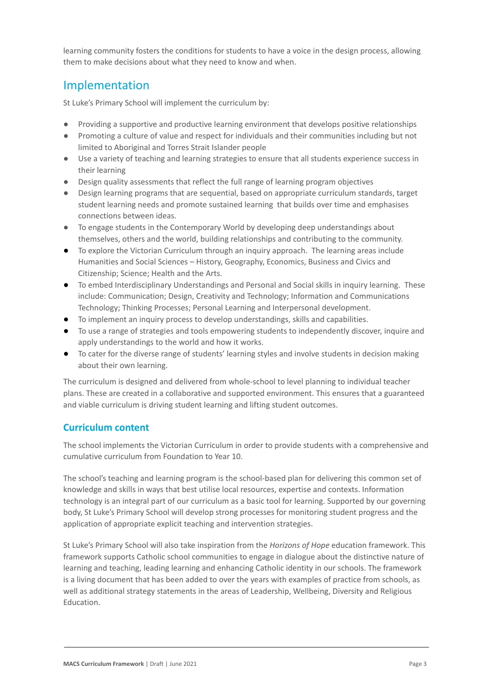learning community fosters the conditions for students to have a voice in the design process, allowing them to make decisions about what they need to know and when.

## Implementation

St Luke's Primary School will implement the curriculum by:

- Providing a supportive and productive learning environment that develops positive relationships
- Promoting a culture of value and respect for individuals and their communities including but not limited to Aboriginal and Torres Strait Islander people
- Use a variety of teaching and learning strategies to ensure that all students experience success in their learning
- Design quality assessments that reflect the full range of learning program objectives
- Design learning programs that are sequential, based on appropriate curriculum standards, target student learning needs and promote sustained learning that builds over time and emphasises connections between ideas.
- To engage students in the Contemporary World by developing deep understandings about themselves, others and the world, building relationships and contributing to the community.
- To explore the Victorian Curriculum through an inquiry approach. The learning areas include Humanities and Social Sciences – History, Geography, Economics, Business and Civics and Citizenship; Science; Health and the Arts.
- To embed Interdisciplinary Understandings and Personal and Social skills in inquiry learning. These include: Communication; Design, Creativity and Technology; Information and Communications Technology; Thinking Processes; Personal Learning and Interpersonal development.
- To implement an inquiry process to develop understandings, skills and capabilities.
- To use a range of strategies and tools empowering students to independently discover, inquire and apply understandings to the world and how it works.
- To cater for the diverse range of students' learning styles and involve students in decision making about their own learning.

The curriculum is designed and delivered from whole-school to level planning to individual teacher plans. These are created in a collaborative and supported environment. This ensures that a guaranteed and viable curriculum is driving student learning and lifting student outcomes.

## **Curriculum content**

The school implements the Victorian Curriculum in order to provide students with a comprehensive and cumulative curriculum from Foundation to Year 10.

The school's teaching and learning program is the school-based plan for delivering this common set of knowledge and skills in ways that best utilise local resources, expertise and contexts. Information technology is an integral part of our curriculum as a basic tool for learning. Supported by our governing body, St Luke's Primary School will develop strong processes for monitoring student progress and the application of appropriate explicit teaching and intervention strategies.

St Luke's Primary School will also take inspiration from the *Horizons of Hope* education framework. This framework supports Catholic school communities to engage in dialogue about the distinctive nature of learning and teaching, leading learning and enhancing Catholic identity in our schools. The framework is a living document that has been added to over the years with examples of practice from schools, as well as additional strategy statements in the areas of Leadership, Wellbeing, Diversity and Religious Education.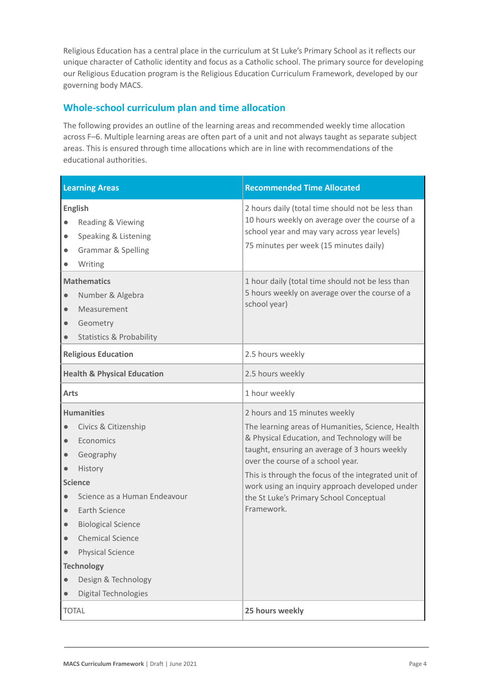Religious Education has a central place in the curriculum at St Luke's Primary School as it reflects our unique character of Catholic identity and focus as a Catholic school. The primary source for developing our Religious Education program is the Religious Education Curriculum Framework, developed by our governing body MACS.

## **Whole-school curriculum plan and time allocation**

The following provides an outline of the learning areas and recommended weekly time allocation across F–6. Multiple learning areas are often part of a unit and not always taught as separate subject areas. This is ensured through time allocations which are in line with recommendations of the educational authorities.

| <b>Learning Areas</b>                                                                                                                                                                                                                                                                                                                                                                                                          | <b>Recommended Time Allocated</b>                                                                                                                                                                                                                                                                                                                                                          |
|--------------------------------------------------------------------------------------------------------------------------------------------------------------------------------------------------------------------------------------------------------------------------------------------------------------------------------------------------------------------------------------------------------------------------------|--------------------------------------------------------------------------------------------------------------------------------------------------------------------------------------------------------------------------------------------------------------------------------------------------------------------------------------------------------------------------------------------|
| <b>English</b><br>Reading & Viewing<br>$\bullet$<br>Speaking & Listening<br>$\bullet$<br><b>Grammar &amp; Spelling</b><br>$\bullet$<br>Writing                                                                                                                                                                                                                                                                                 | 2 hours daily (total time should not be less than<br>10 hours weekly on average over the course of a<br>school year and may vary across year levels)<br>75 minutes per week (15 minutes daily)                                                                                                                                                                                             |
| <b>Mathematics</b><br>Number & Algebra<br>$\bullet$<br>Measurement<br>$\bullet$<br>Geometry<br>$\bullet$<br><b>Statistics &amp; Probability</b><br>$\bullet$                                                                                                                                                                                                                                                                   | 1 hour daily (total time should not be less than<br>5 hours weekly on average over the course of a<br>school year)                                                                                                                                                                                                                                                                         |
| <b>Religious Education</b>                                                                                                                                                                                                                                                                                                                                                                                                     | 2.5 hours weekly                                                                                                                                                                                                                                                                                                                                                                           |
| <b>Health &amp; Physical Education</b>                                                                                                                                                                                                                                                                                                                                                                                         | 2.5 hours weekly                                                                                                                                                                                                                                                                                                                                                                           |
| <b>Arts</b>                                                                                                                                                                                                                                                                                                                                                                                                                    | 1 hour weekly                                                                                                                                                                                                                                                                                                                                                                              |
| <b>Humanities</b><br>Civics & Citizenship<br>$\bullet$<br>Economics<br>$\bullet$<br>Geography<br>$\qquad \qquad \bullet$<br>History<br>$\bullet$<br><b>Science</b><br>Science as a Human Endeavour<br>$\bullet$<br>Earth Science<br>$\bullet$<br><b>Biological Science</b><br>$\bullet$<br><b>Chemical Science</b><br>$\bullet$<br><b>Physical Science</b><br><b>Technology</b><br>Design & Technology<br>Digital Technologies | 2 hours and 15 minutes weekly<br>The learning areas of Humanities, Science, Health<br>& Physical Education, and Technology will be<br>taught, ensuring an average of 3 hours weekly<br>over the course of a school year.<br>This is through the focus of the integrated unit of<br>work using an inquiry approach developed under<br>the St Luke's Primary School Conceptual<br>Framework. |
| <b>TOTAL</b>                                                                                                                                                                                                                                                                                                                                                                                                                   | 25 hours weekly                                                                                                                                                                                                                                                                                                                                                                            |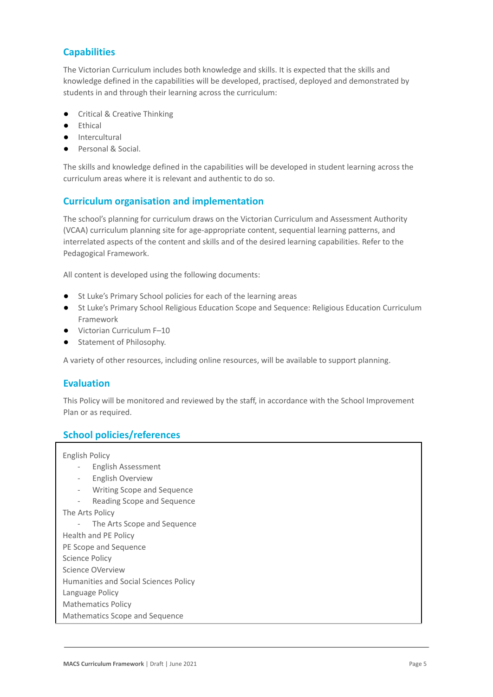## **Capabilities**

The Victorian Curriculum includes both knowledge and skills. It is expected that the skills and knowledge defined in the capabilities will be developed, practised, deployed and demonstrated by students in and through their learning across the curriculum:

- Critical & Creative Thinking
- **Ethical**
- Intercultural
- Personal & Social.

The skills and knowledge defined in the capabilities will be developed in student learning across the curriculum areas where it is relevant and authentic to do so.

## **Curriculum organisation and implementation**

The school's planning for curriculum draws on the Victorian Curriculum and Assessment Authority (VCAA) curriculum planning site for age-appropriate content, sequential learning patterns, and interrelated aspects of the content and skills and of the desired learning capabilities. Refer to the Pedagogical Framework.

All content is developed using the following documents:

- St Luke's Primary School policies for each of the learning areas
- St Luke's Primary School Religious Education Scope and Sequence: Religious Education Curriculum Framework
- Victorian Curriculum F–10
- **Statement of Philosophy.**

A variety of other resources, including online resources, will be available to support planning.

#### **Evaluation**

This Policy will be monitored and reviewed by the staff, in accordance with the School Improvement Plan or as required.

#### **School policies/references**

English Policy

- English Assessment
- English Overview
- Writing Scope and Sequence
- Reading Scope and Sequence

The Arts Policy

The Arts Scope and Sequence

Health and PE Policy

PE Scope and Sequence

Science Policy

Science OVerview

Humanities and Social Sciences Policy

Language Policy

Mathematics Policy

Mathematics Scope and Sequence